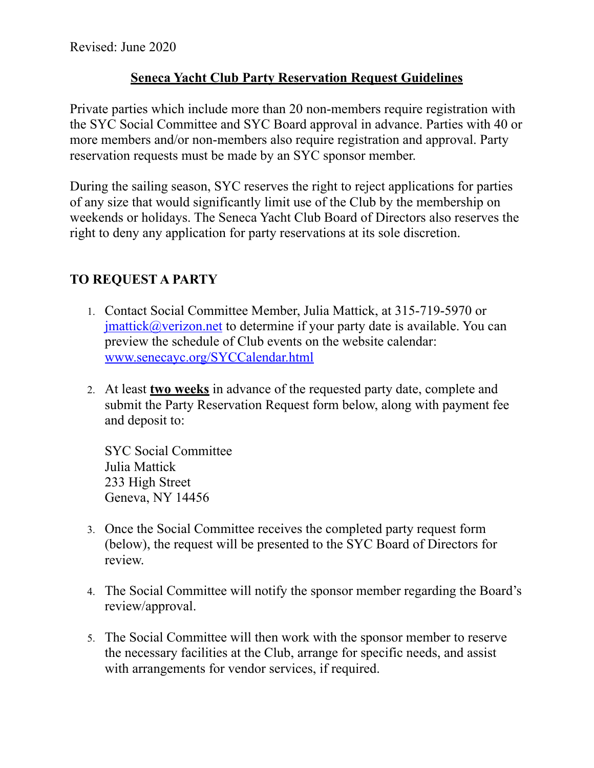## **Seneca Yacht Club Party Reservation Request Guidelines**

Private parties which include more than 20 non-members require registration with the SYC Social Committee and SYC Board approval in advance. Parties with 40 or more members and/or non-members also require registration and approval. Party reservation requests must be made by an SYC sponsor member.

During the sailing season, SYC reserves the right to reject applications for parties of any size that would significantly limit use of the Club by the membership on weekends or holidays. The Seneca Yacht Club Board of Directors also reserves the right to deny any application for party reservations at its sole discretion.

## **TO REQUEST A PARTY**

- 1. Contact Social Committee Member, Julia Mattick, at 315-719-5970 or  $j$  imattick $@$  verizon.net to determine if your party date is available. You can preview the schedule of Club events on the website calendar: [www.senecayc.org/SYCCalendar.html](http://www.senecayc.org/SYCCalendar.html)
- 2. At least **two weeks** in advance of the requested party date, complete and submit the Party Reservation Request form below, along with payment fee and deposit to:

SYC Social Committee Julia Mattick 233 High Street Geneva, NY 14456

- 3. Once the Social Committee receives the completed party request form (below), the request will be presented to the SYC Board of Directors for review.
- 4. The Social Committee will notify the sponsor member regarding the Board's review/approval.
- 5. The Social Committee will then work with the sponsor member to reserve the necessary facilities at the Club, arrange for specific needs, and assist with arrangements for vendor services, if required.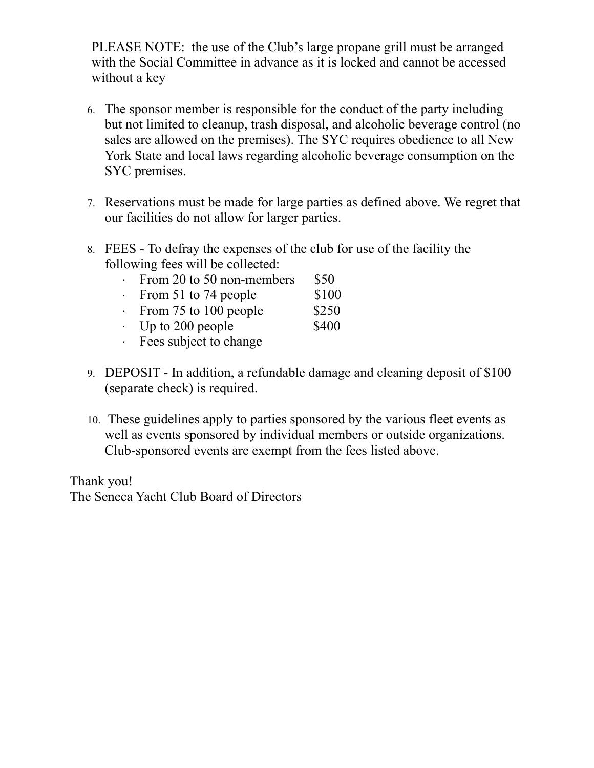PLEASE NOTE: the use of the Club's large propane grill must be arranged with the Social Committee in advance as it is locked and cannot be accessed without a key

- 6. The sponsor member is responsible for the conduct of the party including but not limited to cleanup, trash disposal, and alcoholic beverage control (no sales are allowed on the premises). The SYC requires obedience to all New York State and local laws regarding alcoholic beverage consumption on the SYC premises.
- 7. Reservations must be made for large parties as defined above. We regret that our facilities do not allow for larger parties.
- 8. FEES To defray the expenses of the club for use of the facility the following fees will be collected:
	- $\cdot$  From 20 to 50 non-members \$50
	- $\cdot$  From 51 to 74 people \$100
	- $\cdot$  From 75 to 100 people \$250
	- $\cdot$  Up to 200 people \$400
	- · Fees subject to change
- 9. DEPOSIT In addition, a refundable damage and cleaning deposit of \$100 (separate check) is required.
- 10. These guidelines apply to parties sponsored by the various fleet events as well as events sponsored by individual members or outside organizations. Club-sponsored events are exempt from the fees listed above.

Thank you! The Seneca Yacht Club Board of Directors